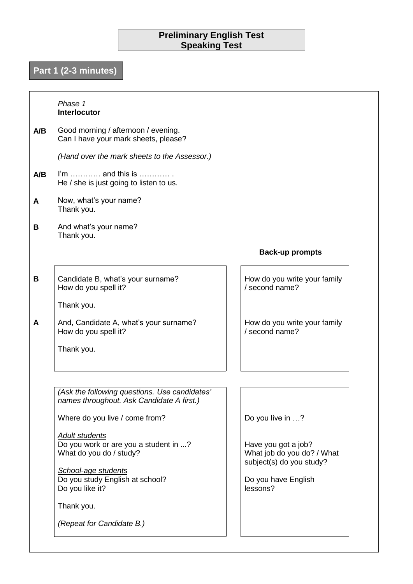# **Preliminary English Test Speaking Test**

# **Part 1 (2-3 minutes)**

## **A/B A/B A B** *Phase 1* **Interlocutor** Good morning / afternoon / evening. Can I have your mark sheets, please? *(Hand over the mark sheets to the Assessor.)* I'm ………… and this is ………… . He / she is just going to listen to us. Now, what's your name? Thank you. And what's your name? Thank you.  **Back-up prompts B A** Candidate B, what's your surname? How do you spell it? Thank you. And, Candidate A, what's your surname? How do you spell it? Thank you. How do you write your family / second name? How do you write your family / second name? *(Ask the following questions. Use candidates' names throughout. Ask Candidate A first.)* Where do you live / come from? *Adult students* Do you work or are you a student in ...? What do you do / study? *School-age students* Do you study English at school? Do you like it? Thank you. *(Repeat for Candidate B.)* Do you live in …? Have you got a job? What job do you do? / What subject(s) do you study? Do you have English lessons?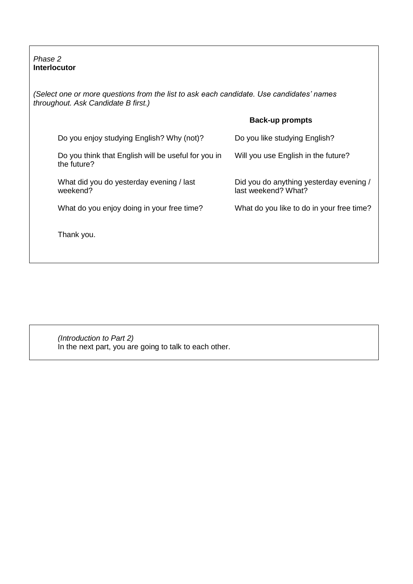*Phase 2* **Interlocutor**

*(Select one or more questions from the list to ask each candidate. Use candidates' names throughout. Ask Candidate B first.)*

| <b>Back-up prompts</b> |
|------------------------|
|                        |

| Do you enjoy studying English? Why (not)?                          | Do you like studying English?                                  |
|--------------------------------------------------------------------|----------------------------------------------------------------|
| Do you think that English will be useful for you in<br>the future? | Will you use English in the future?                            |
| What did you do yesterday evening / last<br>weekend?               | Did you do anything yesterday evening /<br>last weekend? What? |
| What do you enjoy doing in your free time?                         | What do you like to do in your free time?                      |
| Thank you.                                                         |                                                                |

*(Introduction to Part 2)* In the next part, you are going to talk to each other.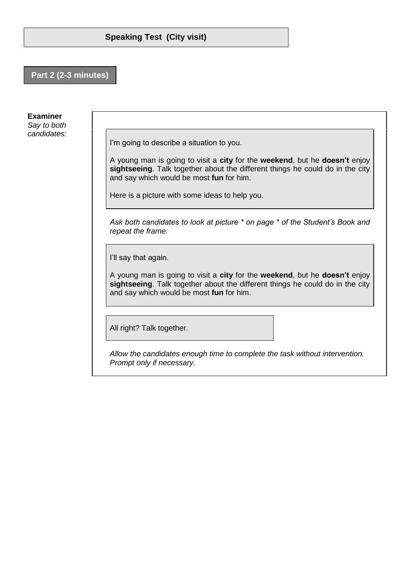## **Part 2 (2-3 minutes)**

#### **Examiner**

*Say to both candidates:*

I'm going to describe a situation to you.

A young man is going to visit a **city** for the **weekend**, but he **doesn't** enjoy **sightseeing**. Talk together about the different things he could do in the city and say which would be most **fun** for him.

Here is a picture with some ideas to help you.

*Ask both candidates to look at picture \* on page \* of the Student's Book and repeat the frame.*

I'll say that again.

A young man is going to visit a **city** for the **weekend**, but he **doesn't** enjoy **sightseeing**. Talk together about the different things he could do in the city and say which would be most **fun** for him.

All right? Talk together.

*Allow the candidates enough time to complete the task without intervention. Prompt only if necessary.*